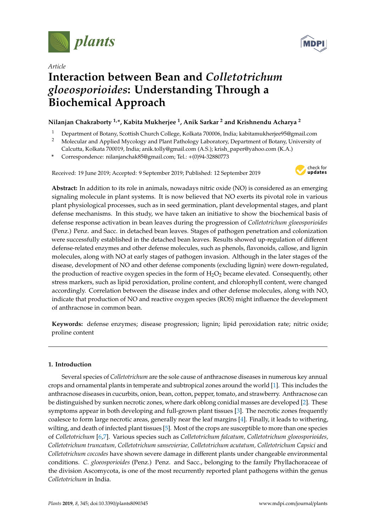

*Article*



# **Interaction between Bean and** *Colletotrichum gloeosporioides***: Understanding Through a Biochemical Approach**

# **Nilanjan Chakraborty 1,\*, Kabita Mukherjee <sup>1</sup> , Anik Sarkar <sup>2</sup> and Krishnendu Acharya <sup>2</sup>**

- <sup>1</sup> Department of Botany, Scottish Church College, Kolkata 700006, India; kabitamukherjee95@gmail.com
- <sup>2</sup> Molecular and Applied Mycology and Plant Pathology Laboratory, Department of Botany, University of
- Calcutta, Kolkata 700019, India; anik.tolly@gmail.com (A.S.); krish\_paper@yahoo.com (K.A.)
- **\*** Correspondence: nilanjanchak85@gmail.com; Tel.: +(0)94-32880773

Received: 19 June 2019; Accepted: 9 September 2019; Published: 12 September 2019



**Abstract:** In addition to its role in animals, nowadays nitric oxide (NO) is considered as an emerging signaling molecule in plant systems. It is now believed that NO exerts its pivotal role in various plant physiological processes, such as in seed germination, plant developmental stages, and plant defense mechanisms. In this study, we have taken an initiative to show the biochemical basis of defense response activation in bean leaves during the progression of *Colletotrichum gloeosporioides* (Penz.) Penz. and Sacc. in detached bean leaves. Stages of pathogen penetration and colonization were successfully established in the detached bean leaves. Results showed up-regulation of different defense-related enzymes and other defense molecules, such as phenols, flavonoids, callose, and lignin molecules, along with NO at early stages of pathogen invasion. Although in the later stages of the disease, development of NO and other defense components (excluding lignin) were down-regulated, the production of reactive oxygen species in the form of  $H_2O_2$  became elevated. Consequently, other stress markers, such as lipid peroxidation, proline content, and chlorophyll content, were changed accordingly. Correlation between the disease index and other defense molecules, along with NO, indicate that production of NO and reactive oxygen species (ROS) might influence the development of anthracnose in common bean.

**Keywords:** defense enzymes; disease progression; lignin; lipid peroxidation rate; nitric oxide; proline content

## **1. Introduction**

Several species of *Colletotrichum* are the sole cause of anthracnose diseases in numerous key annual crops and ornamental plants in temperate and subtropical zones around the world [1]. This includes the anthracnose diseases in cucurbits, onion, bean, cotton, pepper, tomato, and strawberry. Anthracnose can be distinguished by sunken necrotic zones, where dark oblong conidial masses are developed [2]. These symptoms appear in both developing and full-grown plant tissues [3]. The necrotic zones frequently coalesce to form large necrotic areas, generally near the leaf margins [4]. Finally, it leads to withering, wilting, and death of infected plant tissues [5]. Most of the crops are susceptible to more than one species of *Colletotrichum* [6,7]. Various species such as *Colletotrichum falcatum, Colletotrichum gloeosporioides, Colletotrichum truncatum, Colletotrichum sansevieriae, Colletotrichum acutatum, Colletotrichum Capsici* and *Colletotrichum coccodes* have shown severe damage in different plants under changeable environmental conditions. *C. gloeosporioides* (Penz.) Penz. and Sacc., belonging to the family Phyllachoraceae of the division Ascomycota, is one of the most recurrently reported plant pathogens within the genus *Colletotrichum* in India.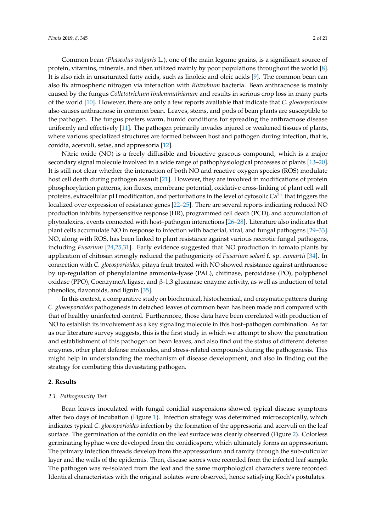Common bean *(Phaseolus vulgaris* L.), one of the main legume grains, is a significant source of protein, vitamins, minerals, and fiber, utilized mainly by poor populations throughout the world [8]. It is also rich in unsaturated fatty acids, such as linoleic and oleic acids [9]. The common bean can also fix atmospheric nitrogen via interaction with *Rhizobium* bacteria. Bean anthracnose is mainly caused by the fungus *Colletotrichum lindenmuthianum* and results in serious crop loss in many parts of the world [10]. However, there are only a few reports available that indicate that *C. gloeosporioides* also causes anthracnose in common bean. Leaves, stems, and pods of bean plants are susceptible to the pathogen. The fungus prefers warm, humid conditions for spreading the anthracnose disease uniformly and effectively [11]. The pathogen primarily invades injured or weakened tissues of plants, where various specialized structures are formed between host and pathogen during infection, that is, conidia, acervuli, setae, and appressoria [12].

Nitric oxide (NO) is a freely diffusible and bioactive gaseous compound, which is a major secondary signal molecule involved in a wide range of pathophysiological processes of plants [13–20]. It is still not clear whether the interaction of both NO and reactive oxygen species (ROS) modulate host cell death during pathogen assault [21]. However, they are involved in modifications of protein phosphorylation patterns, ion fluxes, membrane potential, oxidative cross-linking of plant cell wall proteins, extracellular pH modification, and perturbations in the level of cytosolic  $Ca^{2+}$  that triggers the localized over expression of resistance genes [22–25]. There are several reports indicating reduced NO production inhibits hypersensitive response (HR), programmed cell death (PCD), and accumulation of phytoalexins, events connected with host–pathogen interactions [26–28]. Literature also indicates that plant cells accumulate NO in response to infection with bacterial, viral, and fungal pathogens [29–33]. NO, along with ROS, has been linked to plant resistance against various necrotic fungal pathogens, including *Fusarium* [24,25,31]. Early evidence suggested that NO production in tomato plants by application of chitosan strongly reduced the pathogenicity of *Fusarium solani* f. sp. *eumartii* [34]. In connection with *C. gloeosporioides,* pitaya fruit treated with NO showed resistance against anthracnose by up-regulation of phenylalanine ammonia-lyase (PAL), chitinase, peroxidase (PO), polyphenol oxidase (PPO), CoenzymeA ligase, and β-1,3 glucanase enzyme activity, as well as induction of total phenolics, flavonoids, and lignin [35].

In this context, a comparative study on biochemical, histochemical, and enzymatic patterns during *C. gloeosporioides* pathogenesis in detached leaves of common bean has been made and compared with that of healthy uninfected control. Furthermore, those data have been correlated with production of NO to establish its involvement as a key signaling molecule in this host–pathogen combination. As far as our literature survey suggests, this is the first study in which we attempt to show the penetration and establishment of this pathogen on bean leaves, and also find out the status of different defense enzymes, other plant defense molecules, and stress-related compounds during the pathogenesis. This might help in understanding the mechanism of disease development, and also in finding out the strategy for combating this devastating pathogen.

## **2. Results**

## *2.1. Pathogenicity Test*

Bean leaves inoculated with fungal conidial suspensions showed typical disease symptoms after two days of incubation (Figure 1). Infection strategy was determined microscopically, which indicates typical *C. gloeosporioides* infection by the formation of the appressoria and acervuli on the leaf surface. The germination of the conidia on the leaf surface was clearly observed (Figure 2). Colorless germinating hyphae were developed from the conidiospore, which ultimately forms an appressorium. The primary infection threads develop from the appressorium and ramify through the sub-cuticular layer and the walls of the epidermis. Then, disease scores were recorded from the infected leaf sample. The pathogen was re-isolated from the leaf and the same morphological characters were recorded. Identical characteristics with the original isolates were observed, hence satisfying Koch's postulates.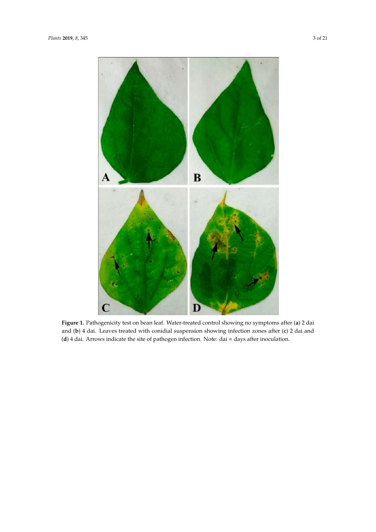

**Figure 1.** Pathogenicity test on bean leaf. Water-treated control showing no symptoms after (**a**) 2 dai and (**b**) 4 dai. Leaves treated with conidial suspension showing infection zones after (**c**) 2 dai and (**d**) 4 dai. Arrows indicate the site of pathogen infection. Note: dai = days after inoculation.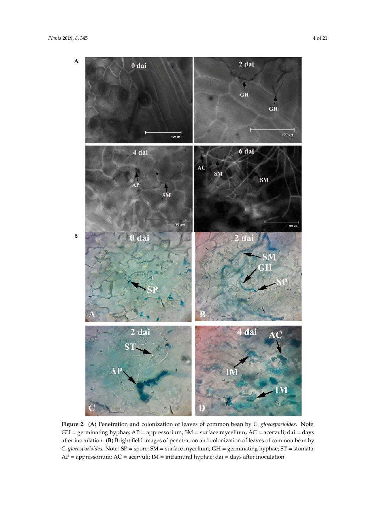

**Figure 2.** (**A**) Penetration and colonization of leaves of common bean by *C. gloeosporioides*. Note: GH = germinating hyphae; AP = appressorium; SM = surface mycelium; AC = acervuli; dai = days after inoculation. (**B**) Bright field images of penetration and colonization of leaves of common bean by *C. gloeosporioides*. Note: SP = spore; SM = surface mycelium; GH = germinating hyphae; ST = stomata; AP = appressorium; AC = acervuli; IM = intramural hyphae; dai = days after inoculation.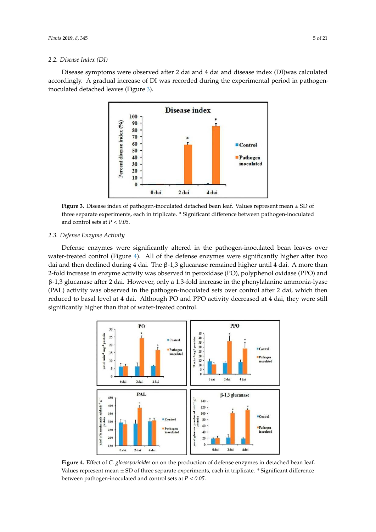## *2.2. Disease Index (DI)*

Disease symptoms were observed after 2 dai and 4 dai and disease index (DI)was calculated accordingly. A gradual increase of DI was recorded during the experimental period in pathogeninoculated detached leaves (Figure 3).



**Figure 3.** Disease index of pathogen-inoculated detached bean leaf. Values represent mean ± SD of three separate experiments, each in triplicate. \* Significant difference between pathogen-inoculated and control sets at *P* < *0.05*.

## *2.3. Defense Enzyme Activity*

Defense enzymes were significantly altered in the pathogen-inoculated bean leaves over water-treated control (Figure 4). All of the defense enzymes were significantly higher after two dai and then declined during 4 dai. The β-1,3 glucanase remained higher until 4 dai. A more than 2-fold increase in enzyme activity was observed in peroxidase (PO), polyphenol oxidase (PPO) and β-1,3 glucanase after 2 dai. However, only a 1.3-fold increase in the phenylalanine ammonia-lyase (PAL) activity was observed in the pathogen-inoculated sets over control after 2 dai, which then reduced to basal level at 4 dai. Although PO and PPO activity decreased at 4 dai, they were still significantly higher than that of water-treated control.



**Figure 4.** Effect of *C. gloeosporioides* on on the production of defense enzymes in detached bean leaf. Values represent mean  $\pm$  SD of three separate experiments, each in triplicate.  $*$  Significant difference between pathogen-inoculated and control sets at *P* < *0.05*.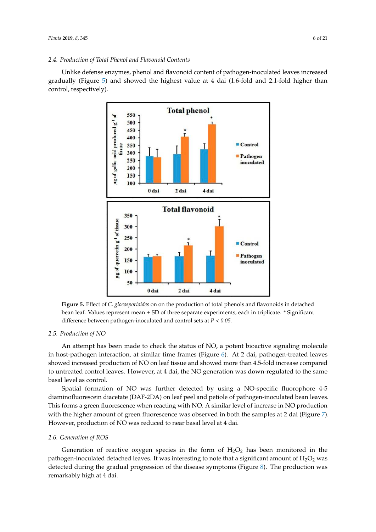Unlike defense enzymes, phenol and flavonoid content of pathogen-inoculated leaves increased gradually (Figure 5) and showed the highest value at 4 dai (1.6-fold and 2.1-fold higher than control, respectively).



**Figure 5.** Effect of *C. gloeosporioides* on on the production of total phenols and flavonoids in detached bean leaf. Values represent mean ± SD of three separate experiments, each in triplicate. \* Significant difference between pathogen-inoculated and control sets at *P* < *0.05*.

## *2.5. Production of NO*

An attempt has been made to check the status of NO, a potent bioactive signaling molecule in host-pathogen interaction, at similar time frames (Figure 6). At 2 dai, pathogen-treated leaves showed increased production of NO on leaf tissue and showed more than 4.5-fold increase compared to untreated control leaves. However, at 4 dai, the NO generation was down-regulated to the same basal level as control.

Spatial formation of NO was further detected by using a NO-specific fluorophore 4-5 diaminofluorescein diacetate (DAF-2DA) on leaf peel and petiole of pathogen-inoculated bean leaves. This forms a green fluorescence when reacting with NO. A similar level of increase in NO production with the higher amount of green fluorescence was observed in both the samples at 2 dai (Figure 7). However, production of NO was reduced to near basal level at 4 dai.

## *2.6. Generation of ROS*

Generation of reactive oxygen species in the form of  $H_2O_2$  has been monitored in the pathogen-inoculated detached leaves. It was interesting to note that a significant amount of  $H_2O_2$  was detected during the gradual progression of the disease symptoms (Figure 8). The production was remarkably high at 4 dai.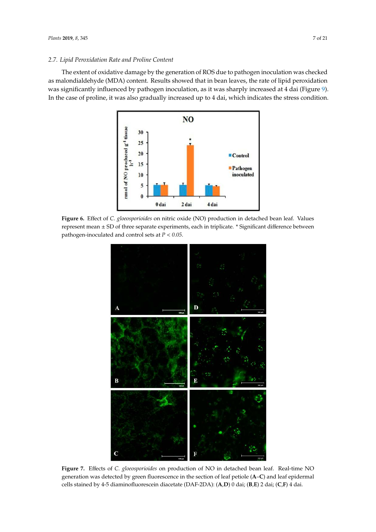## *2.7. Lipid Peroxidation Rate and Proline Content*

The extent of oxidative damage by the generation of ROS due to pathogen inoculation was checked as malondialdehyde (MDA) content. Results showed that in bean leaves, the rate of lipid peroxidation was significantly influenced by pathogen inoculation, as it was sharply increased at 4 dai (Figure 9). In the case of proline, it was also gradually increased up to 4 dai, which indicates the stress condition.



**Figure 6.** Effect of *C. gloeosporioides* on nitric oxide (NO) production in detached bean leaf. Values represent mean ± SD of three separate experiments, each in triplicate. \* Significant difference between pathogen-inoculated and control sets at *P* < *0.05*.



**Figure 7.** Effects of *C. gloeosporioides* on production of NO in detached bean leaf. Real-time NO generation was detected by green fluorescence in the section of leaf petiole (**A**–**C**) and leaf epidermal cells stained by 4-5 diaminofluorescein diacetate (DAF-2DA): (**A**,**D**) 0 dai; (**B**,**E**) 2 dai; (**C**,**F**) 4 dai.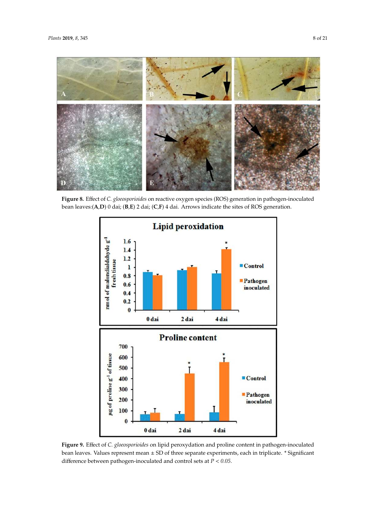

**Figure 8.** Effect of *C. gloeosporioides* on reactive oxygen species (ROS) generation in pathogen-inoculated bean leaves:(**A**,**D**) 0 dai; (**B**,**E**) 2 dai; (**C**,**F**) 4 dai. Arrows indicate the sites of ROS generation.



**Figure 9.** Effect of *C. gloeosporioides* on lipid peroxydation and proline content in pathogen-inoculated bean leaves. Values represent mean ± SD of three separate experiments, each in triplicate. \* Significant difference between pathogen-inoculated and control sets at *P* < *0.05*.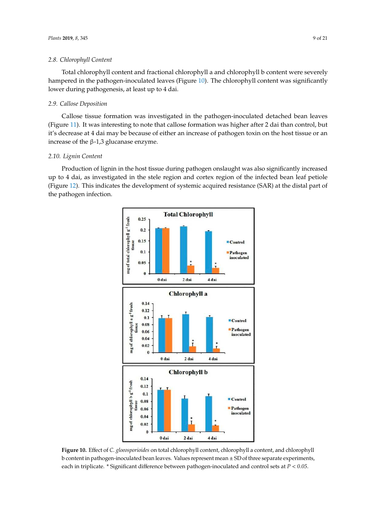#### *2.8. Chlorophyll Content*

Total chlorophyll content and fractional chlorophyll a and chlorophyll b content were severely hampered in the pathogen-inoculated leaves (Figure 10). The chlorophyll content was significantly lower during pathogenesis, at least up to 4 dai.

## *2.9. Callose Deposition*

Callose tissue formation was investigated in the pathogen-inoculated detached bean leaves (Figure 11). It was interesting to note that callose formation was higher after 2 dai than control, but it's decrease at 4 dai may be because of either an increase of pathogen toxin on the host tissue or an increase of the  $β-1,3$  glucanase enzyme.

## *2.10. Lignin Content*

Production of lignin in the host tissue during pathogen onslaught was also significantly increased up to 4 dai, as investigated in the stele region and cortex region of the infected bean leaf petiole (Figure 12). This indicates the development of systemic acquired resistance (SAR) at the distal part of the pathogen infection.



**Figure 10.** Effect of *C. gloeosporioides* on total chlorophyll content, chlorophyll a content, and chlorophyll b content in pathogen-inoculated bean leaves. Values represent mean ± SD of three separate experiments, each in triplicate. \* Significant difference between pathogen-inoculated and control sets at *P* < *0.05*.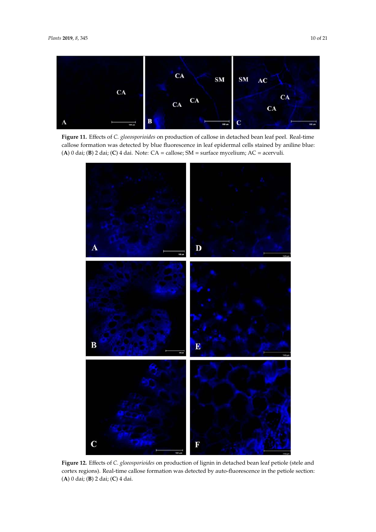

**Figure 11.** Effects of *C. gloeosporioides* on production of callose in detached bean leaf peel. Real-time callose formation was detected by blue fluorescence in leaf epidermal cells stained by aniline blue: (**A**) 0 dai; (**B**) 2 dai; (**C**) 4 dai. Note: CA = callose; SM = surface mycelium; AC = acervuli.



**Figure 12.** Effects of *C. gloeosporioides* on production of lignin in detached bean leaf petiole (stele and cortex regions). Real-time callose formation was detected by auto-fluorescence in the petiole section: (**A**) 0 dai; (**B**) 2 dai; (**C**) 4 dai.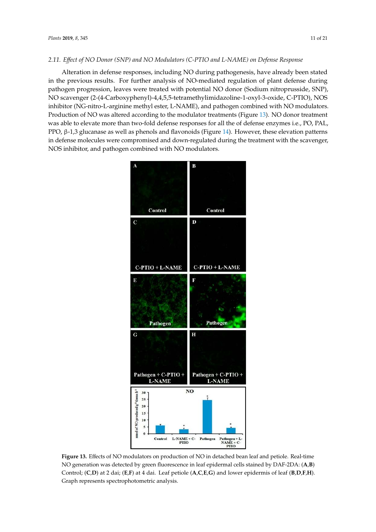#### *2.11. E*ff*ect of NO Donor (SNP) and NO Modulators (C-PTIO and L-NAME) on Defense Response*

Alteration in defense responses, including NO during pathogenesis, have already been stated in the previous results. For further analysis of NO-mediated regulation of plant defense during pathogen progression, leaves were treated with potential NO donor (Sodium nitroprusside, SNP), NO scavenger (2-(4-Carboxyphenyl)-4,4,5,5-tetramethylimidazoline-1-oxyl-3-oxide, C-PTIO), NOS inhibitor (NG-nitro-L-arginine methyl ester, L-NAME), and pathogen combined with NO modulators. Production of NO was altered according to the modulator treatments (Figure 13). NO donor treatment was able to elevate more than two-fold defense responses for all the of defense enzymes i.e., PO, PAL, PPO, β-1,3 glucanase as well as phenols and flavonoids (Figure 14). However, these elevation patterns in defense molecules were compromised and down-regulated during the treatment with the scavenger, NOS inhibitor, and pathogen combined with NO modulators.



**Figure 13.** Effects of NO modulators on production of NO in detached bean leaf and petiole. Real-time NO generation was detected by green fluorescence in leaf epidermal cells stained by DAF-2DA: (**A**,**B**) Control; (**C**,**D**) at 2 dai; (**E**,**F**) at 4 dai. Leaf petiole (**A**,**C**,**E**,**G**) and lower epidermis of leaf (**B**,**D**,**F**,**H**). Graph represents spectrophotometric analysis.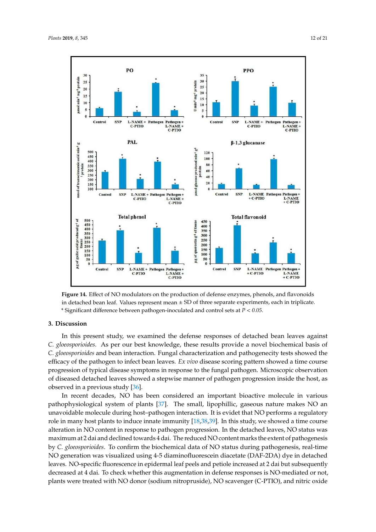

**Figure 14.** Effect of NO modulators on the production of defense enzymes, phenols, and flavonoids in detached bean leaf. Values represent mean  $\pm$  SD of three separate experiments, each in triplicate. \* Significant difference between pathogen-inoculated and control sets at *P* < *0.05*.

## **3. Discussion**

In this present study, we examined the defense responses of detached bean leaves against *C. gloeosporioides*. As per our best knowledge, these results provide a novel biochemical basis of *C. gloeosporioides* and bean interaction. Fungal characterization and pathogenecity tests showed the efficacy of the pathogen to infect bean leaves. *Ex vivo* disease scoring pattern showed a time course progression of typical disease symptoms in response to the fungal pathogen. Microscopic observation of diseased detached leaves showed a stepwise manner of pathogen progression inside the host, as observed in a previous study [36].

In recent decades, NO has been considered an important bioactive molecule in various pathophysiological system of plants [37]. The small, lipophillic, gaseous nature makes NO an unavoidable molecule during host–pathogen interaction. It is evidet that NO performs a regulatory role in many host plants to induce innate immunity [18,38,39]. In this study, we showed a time course alteration in NO content in response to pathogen progression. In the detached leaves, NO status was maximum at 2 dai and declined towards 4 dai. The reduced NO content marks the extent of pathogenesis by *C. gloeosporioides*. To confirm the biochemical data of NO status during pathogenesis, real-time NO generation was visualized using 4-5 diaminofluorescein diacetate (DAF-2DA) dye in detached leaves. NO-specific fluorescence in epidermal leaf peels and petiole increased at 2 dai but subsequently decreased at 4 dai. To check whether this augmentation in defense responses is NO-mediated or not, plants were treated with NO donor (sodium nitropruside), NO scavenger (C-PTIO), and nitric oxide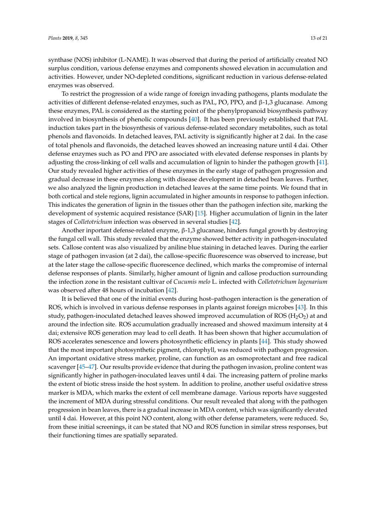synthase (NOS) inhibitor (L-NAME). It was observed that during the period of artificially created NO surplus condition, various defense enzymes and components showed elevation in accumulation and activities. However, under NO-depleted conditions, significant reduction in various defense-related enzymes was observed.

To restrict the progression of a wide range of foreign invading pathogens, plants modulate the activities of different defense-related enzymes, such as PAL, PO, PPO, and  $β-1,3$  glucanase. Among these enzymes, PAL is considered as the starting point of the phenylpropanoid biosynthesis pathway involved in biosynthesis of phenolic compounds [40]. It has been previously established that PAL induction takes part in the biosynthesis of various defense-related secondary metabolites, such as total phenols and flavonoids. In detached leaves, PAL activity is significantly higher at 2 dai. In the case of total phenols and flavonoids, the detached leaves showed an increasing nature until 4 dai. Other defense enzymes such as PO and PPO are associated with elevated defense responses in plants by adjusting the cross-linking of cell walls and accumulation of lignin to hinder the pathogen growth [41]. Our study revealed higher activities of these enzymes in the early stage of pathogen progression and gradual decrease in these enzymes along with disease development in detached bean leaves. Further, we also analyzed the lignin production in detached leaves at the same time points. We found that in both cortical and stele regions, lignin accumulated in higher amounts in response to pathogen infection. This indicates the generation of lignin in the tissues other than the pathogen infection site, marking the development of systemic acquired resistance (SAR) [15]. Higher accumulation of lignin in the later stages of *Colletotrichum* infection was observed in several studies [42].

Another inportant defense-related enzyme,  $\beta$ -1,3 glucanase, hinders fungal growth by destroying the fungal cell wall. This study revealed that the enzyme showed better activity in pathogen-inoculated sets. Callose content was also visualized by aniline blue staining in detached leaves. During the earlier stage of pathogen invasion (at 2 dai), the callose-specific fluorescence was observed to increase, but at the later stage the callose-specific fluorescence declined, which marks the compromise of internal defense responses of plants. Similarly, higher amount of lignin and callose production surrounding the infection zone in the resistant cultivar of *Cucumis melo* L. infected with *Colletotrichum lagenarium* was observed after 48 hours of incubation [42].

It is believed that one of the initial events during host–pathogen interaction is the generation of ROS, which is involved in various defense responses in plants against foreign microbes [43]. In this study, pathogen-inoculated detached leaves showed improved accumulation of ROS ( $H_2O_2$ ) at and around the infection site. ROS accumulation gradually increased and showed maximum intensity at 4 dai; extensive ROS generation may lead to cell death. It has been shown that higher accumulation of ROS accelerates senescence and lowers photosynthetic efficiency in plants [44]. This study showed that the most important photosynthetic pigment, chlorophyll, was reduced with pathogen progression. An important oxidative stress marker, proline, can function as an osmoprotectant and free radical scavenger [45–47]. Our results provide evidence that during the pathogen invasion, proline content was significantly higher in pathogen-inoculated leaves until 4 dai. The increasing pattern of proline marks the extent of biotic stress inside the host system. In addition to proline, another useful oxidative stress marker is MDA, which marks the extent of cell membrane damage. Various reports have suggested the increment of MDA during stressful conditions. Our result revealed that along with the pathogen progression in bean leaves, there is a gradual increase in MDA content, which was significantly elevated until 4 dai. However, at this point NO content, along with other defense parameters, were reduced. So, from these initial screenings, it can be stated that NO and ROS function in similar stress responses, but their functioning times are spatially separated.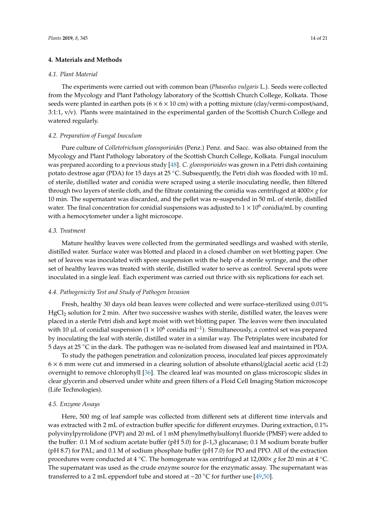## **4. Materials and Methods**

#### *4.1. Plant Material*

The experiments were carried out with common bean (*Phaseolus vulgaris* L.). Seeds were collected from the Mycology and Plant Pathology laboratory of the Scottish Church College, Kolkata. Those seeds were planted in earthen pots  $(6 \times 6 \times 10 \text{ cm})$  with a potting mixture (clay/vermi-compost/sand, 3:1:1, v/v). Plants were maintained in the experimental garden of the Scottish Church College and watered regularly.

## *4.2. Preparation of Fungal Inoculum*

Pure culture of *Colletotrichum gloeosporioides* (Penz.) Penz. and Sacc. was also obtained from the Mycology and Plant Pathology laboratory of the Scottish Church College, Kolkata. Fungal inoculum was prepared according to a previous study [48]. *C. gloeosporioides* was grown in a Petri dish containing potato dextrose agar (PDA) for 15 days at 25 ◦C. Subsequently, the Petri dish was flooded with 10 mL of sterile, distilled water and conidia were scraped using a sterile inoculating needle, then filtered through two layers of sterile cloth, and the filtrate containing the conidia was centrifuged at  $4000 \times g$  for 10 min. The supernatant was discarded, and the pellet was re-suspended in 50 mL of sterile, distilled water. The final concentration for conidial suspensions was adjusted to  $1 \times 10^6$  conidia/mL by counting with a hemocytometer under a light microscope.

## *4.3. Treatment*

Mature healthy leaves were collected from the germinated seedlings and washed with sterile, distilled water. Surface water was blotted and placed in a closed chamber on wet blotting paper. One set of leaves was inoculated with spore suspension with the help of a sterile syringe, and the other set of healthy leaves was treated with sterile, distilled water to serve as control. Several spots were inoculated in a single leaf. Each experiment was carried out thrice with six replications for each set.

#### *4.4. Pathogenicity Test and Study of Pathogen Invasion*

Fresh, healthy 30 days old bean leaves were collected and were surface-sterilized using 0.01% HgCl<sub>2</sub> solution for 2 min. After two successive washes with sterile, distilled water, the leaves were placed in a sterile Petri dish and kept moist with wet blotting paper. The leaves were then inoculated with 10 µL of conidial suspension ( $1 \times 10^6$  conidia ml<sup>-1</sup>). Simultaneously, a control set was prepared by inoculating the leaf with sterile, distilled water in a similar way. The Petriplates were incubated for 5 days at 25 ◦C in the dark. The pathogen was re-isolated from diseased leaf and maintained in PDA.

To study the pathogen penetration and colonization process, inoculated leaf pieces approximately  $6 \times 6$  mm were cut and immersed in a clearing solution of absolute ethanol/glacial acetic acid (1:2) overnight to remove chlorophyll [36]. The cleared leaf was mounted on glass microscopic slides in clear glycerin and observed under white and green filters of a Floid Cell Imaging Station microscope (Life Technologies).

## *4.5. Enzyme Assays*

Here, 500 mg of leaf sample was collected from different sets at different time intervals and was extracted with 2 mL of extraction buffer specific for different enzymes. During extraction, 0.1% polyvinylpyrrolidone (PVP) and 20 mL of 1 mM phenylmethylsulfonyl fluoride (PMSF) were added to the buffer: 0.1 M of sodium acetate buffer (pH 5.0) for β-1,3 glucanase; 0.1 M sodium borate buffer (pH 8.7) for PAL; and 0.1 M of sodium phosphate buffer (pH 7.0) for PO and PPO. All of the extraction procedures were conducted at 4 ◦C. The homogenate was centrifuged at 12,000× *g* for 20 min at 4 ◦C. The supernatant was used as the crude enzyme source for the enzymatic assay. The supernatant was transferred to a 2 mL eppendorf tube and stored at −20 ◦C for further use [49,50].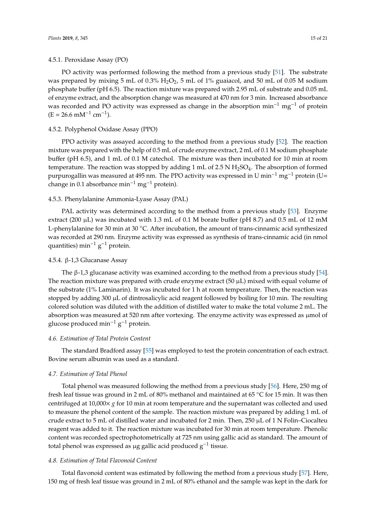## 4.5.1. Peroxidase Assay (PO)

PO activity was performed following the method from a previous study [51]. The substrate was prepared by mixing 5 mL of  $0.3\%$  H<sub>2</sub>O<sub>2</sub>, 5 mL of 1% guaiacol, and 50 mL of 0.05 M sodium phosphate buffer (pH 6.5). The reaction mixture was prepared with 2.95 mL of substrate and 0.05 mL of enzyme extract, and the absorption change was measured at 470 nm for 3 min. Increased absorbance was recorded and PO activity was expressed as change in the absorption min<sup>-1</sup> mg<sup>-1</sup> of protein  $(E = 26.6$  mM<sup>-1</sup> cm<sup>-1</sup>).

## 4.5.2. Polyphenol Oxidase Assay (PPO)

PPO activity was assayed according to the method from a previous study [52]. The reaction mixture was prepared with the help of 0.5 mL of crude enzyme extract, 2 mL of 0.1 M sodium phosphate buffer (pH 6.5), and 1 mL of 0.1 M catechol. The mixture was then incubated for 10 min at room temperature. The reaction was stopped by adding 1 mL of 2.5 N  $H_2SO_4$ . The absorption of formed purpurogallin was measured at 495 nm. The PPO activity was expressed in U min<sup>-1</sup> mg<sup>-1</sup> protein (U= change in 0.1 absorbance min<sup>-1</sup> mg<sup>-1</sup> protein).

## 4.5.3. Phenylalanine Ammonia-Lyase Assay (PAL)

PAL activity was determined according to the method from a previous study [53]. Enzyme extract (200  $\mu$ L) was incubated with 1.3 mL of 0.1 M borate buffer (pH 8.7) and 0.5 mL of 12 mM L-phenylalanine for 30 min at 30 ℃. After incubation, the amount of trans-cinnamic acid synthesized was recorded at 290 nm. Enzyme activity was expressed as synthesis of trans-cinnamic acid (in nmol quantities) min<sup>-1</sup> g<sup>-1</sup> protein.

## 4.5.4. β-1,3 Glucanase Assay

The  $\beta$ -1,3 glucanase activity was examined according to the method from a previous study [54]. The reaction mixture was prepared with crude enzyme extract  $(50 \mu L)$  mixed with equal volume of the substrate (1% Laminarin). It was incubated for 1 h at room temperature. Then, the reaction was stopped by adding 300 µL of dintrosalicylic acid reagent followed by boiling for 10 min. The resulting colored solution was diluted with the addition of distilled water to make the total volume 2 mL. The absorption was measured at 520 nm after vortexing. The enzyme activity was expressed as µmol of glucose produced min<sup>-1</sup> g<sup>-1</sup> protein.

#### *4.6. Estimation of Total Protein Content*

The standard Bradford assay [55] was employed to test the protein concentration of each extract. Bovine serum albumin was used as a standard.

#### *4.7. Estimation of Total Phenol*

Total phenol was measured following the method from a previous study [56]. Here, 250 mg of fresh leaf tissue was ground in 2 mL of 80% methanol and maintained at 65 ◦C for 15 min. It was then centrifuged at 10,000× *g* for 10 min at room temperature and the supernatant was collected and used to measure the phenol content of the sample. The reaction mixture was prepared by adding 1 mL of crude extract to 5 mL of distilled water and incubated for 2 min. Then, 250  $\mu$ L of 1 N Folin–Ciocalteu reagent was added to it. The reaction mixture was incubated for 30 min at room temperature. Phenolic content was recorded spectrophotometrically at 725 nm using gallic acid as standard. The amount of total phenol was expressed as µg gallic acid produced g<sup>-1</sup> tissue.

#### *4.8. Estimation of Total Flavonoid Content*

Total flavonoid content was estimated by following the method from a previous study [57]. Here, 150 mg of fresh leaf tissue was ground in 2 mL of 80% ethanol and the sample was kept in the dark for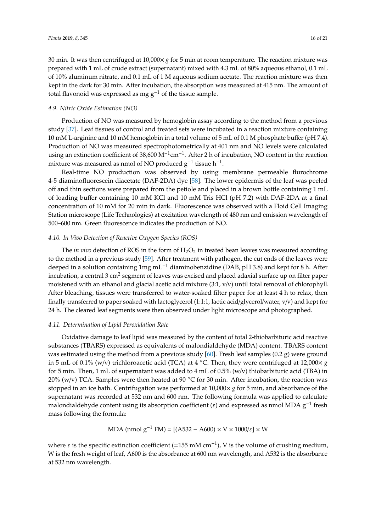30 min. It was then centrifuged at 10,000× *g* for 5 min at room temperature. The reaction mixture was prepared with 1 mL of crude extract (supernatant) mixed with 4.3 mL of 80% aqueous ethanol, 0.1 mL of 10% aluminum nitrate, and 0.1 mL of 1 M aqueous sodium acetate. The reaction mixture was then kept in the dark for 30 min. After incubation, the absorption was measured at 415 nm. The amount of total flavonoid was expressed as mg  $g^{-1}$  of the tissue sample.

## *4.9. Nitric Oxide Estimation (NO)*

Production of NO was measured by hemoglobin assay according to the method from a previous study [37]. Leaf tissues of control and treated sets were incubated in a reaction mixture containing 10 mM L-arginine and 10 mM hemoglobin in a total volume of 5 mL of 0.1 M phosphate buffer (pH 7.4). Production of NO was measured spectrophotometrically at 401 nm and NO levels were calculated using an extinction coefficient of 38,600 M<sup>-1</sup>cm<sup>-1</sup>. After 2 h of incubation, NO content in the reaction mixture was measured as nmol of NO produced  $g^{-1}$  tissue h<sup>-1</sup>.

Real-time NO production was observed by using membrane permeable flurochrome 4-5 diaminofluorescein diacetate (DAF-2DA) dye [58]. The lower epidermis of the leaf was peeled off and thin sections were prepared from the petiole and placed in a brown bottle containing 1 mL of loading buffer containing 10 mM KCl and 10 mM Tris HCl (pH 7.2) with DAF-2DA at a final concentration of 10 mM for 20 min in dark. Fluorescence was observed with a Floid Cell Imaging Station microscope (Life Technologies) at excitation wavelength of 480 nm and emission wavelength of 500–600 nm. Green fluorescence indicates the production of NO.

## *4.10. In Vivo Detection of Reactive Oxygen Species (ROS)*

The *in vivo* detection of ROS in the form of  $H_2O_2$  in treated bean leaves was measured according to the method in a previous study [59]. After treatment with pathogen, the cut ends of the leaves were deeped in a solution containing  $1mg$  mL<sup>-1</sup> diaminobenzidine (DAB, pH 3.8) and kept for 8 h. After incubation, a central 3 cm $^2$  segment of leaves was excised and placed adaxial surface up on filter paper moistened with an ethanol and glacial acetic acid mixture (3:1, v/v) until total removal of chlorophyll. After bleaching, tissues were transferred to water-soaked filter paper for at least 4 h to relax, then finally transferred to paper soaked with lactoglycerol (1:1:1, lactic acid/glycerol/water, v/v) and kept for 24 h. The cleared leaf segments were then observed under light microscope and photographed.

## *4.11. Determination of Lipid Peroxidation Rate*

Oxidative damage to leaf lipid was measured by the content of total 2-thiobarbituric acid reactive substances (TBARS) expressed as equivalents of malondialdehyde (MDA) content. TBARS content was estimated using the method from a previous study [60]. Fresh leaf samples (0.2 g) were ground in 5 mL of 0.1% (w/v) trichloroacetic acid (TCA) at 4 °C. Then, they were centrifuged at 12,000 $\times$  *g* for 5 min. Then, 1 mL of supernatant was added to 4 mL of 0.5% (w/v) thiobarbituric acid (TBA) in 20% (w/v) TCA. Samples were then heated at 90 °C for 30 min. After incubation, the reaction was stopped in an ice bath. Centrifugation was performed at 10,000× *g* for 5 min, and absorbance of the supernatant was recorded at 532 nm and 600 nm. The following formula was applied to calculate malondialdehyde content using its absorption coefficient ( $\varepsilon$ ) and expressed as nmol MDA  $g^{-1}$  fresh mass following the formula:

MDA (nmol g<sup>-1</sup> FM) = [(A532 – A600) × V × 1000/
$$
\varepsilon
$$
] × W

where  $\varepsilon$  is the specific extinction coefficient (=155 mM cm<sup>-1</sup>), V is the volume of crushing medium, W is the fresh weight of leaf, A600 is the absorbance at 600 nm wavelength, and A532 is the absorbance at 532 nm wavelength.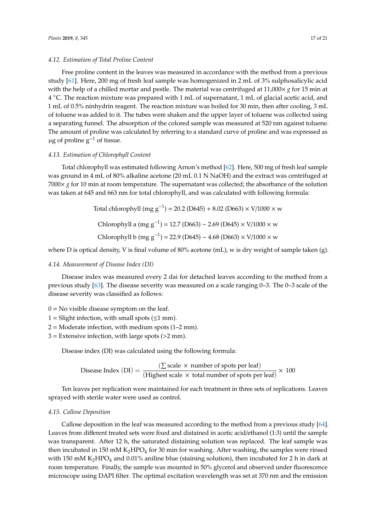#### *4.12. Estimation of Total Proline Content*

Free proline content in the leaves was measured in accordance with the method from a previous study [61]. Here, 200 mg of fresh leaf sample was homogenized in 2 mL of 3% sulphosalicylic acid with the help of a chilled mortar and pestle. The material was centrifuged at  $11,000 \times g$  for 15 min at 4 ◦C. The reaction mixture was prepared with 1 mL of supernatant, 1 mL of glacial acetic acid, and 1 mL of 0.5% ninhydrin reagent. The reaction mixture was boiled for 30 min, then after cooling, 3 mL of toluene was added to it. The tubes were shaken and the upper layer of toluene was collected using a separating funnel. The absorption of the colored sample was measured at 520 nm against toluene. The amount of proline was calculated by referring to a standard curve of proline and was expressed as  $\mu$ g of proline g<sup>-1</sup> of tissue.

## *4.13. Estimation of Chlorophyll Content*

Total chlorophyll was estimated following Arnon's method [62]. Here, 500 mg of fresh leaf sample was ground in 4 mL of 80% alkaline acetone (20 mL 0.1 N NaOH) and the extract was centrifuged at  $7000\times g$  for 10 min at room temperature. The supernatant was collected; the absorbance of the solution was taken at 645 and 663 nm for total chlorophyll, and was calculated with following formula:

Total chlorophyll (mg g−<sup>1</sup> ) = 20.2 (D645) + 8.02 (D663) × V/1000 × w Chlorophyll a (mg g−<sup>1</sup> ) = 12.7 (D663) − 2.69 (D645) × V/1000 × w Chlorophyll b (mg g−<sup>1</sup> ) = 22.9 (D645) − 4.68 (D663) × V/1000 × w

where D is optical density, V is final volume of 80% acetone (mL), w is dry weight of sample taken (g).

## *4.14. Measurement of Disease Index (DI)*

Disease index was measured every 2 dai for detached leaves according to the method from a previous study [63]. The disease severity was measured on a scale ranging 0–3. The 0–3 scale of the disease severity was classified as follows:

- $0 = No$  visible disease symptom on the leaf.
- $1 =$  Slight infection, with small spots ( $\leq 1$  mm).
- $2 =$  Moderate infection, with medium spots (1–2 mm).
- $3 =$  Extensive infection, with large spots ( $>2$  mm).

Disease index (DI) was calculated using the following formula:

$$
Disease Index (DI) = \frac{(\sum scale \times number of spots per leaf)}{(Highest scale \times total number of spots per leaf)} \times 100
$$

Ten leaves per replication were maintained for each treatment in three sets of replications. Leaves sprayed with sterile water were used as control.

## *4.15. Callose Deposition*

Callose deposition in the leaf was measured according to the method from a previous study [64]. Leaves from different treated sets were fixed and distained in acetic acid/ethanol (1:3) until the sample was transparent. After 12 h, the saturated distaining solution was replaced. The leaf sample was then incubated in 150 mM  $K_2HPO_4$  for 30 min for washing. After washing, the samples were rinsed with 150 mM  $K_2HPO_4$  and 0.01% aniline blue (staining solution), then incubated for 2 h in dark at room temperature. Finally, the sample was mounted in 50% glycerol and observed under fluorescence microscope using DAPI filter. The optimal excitation wavelength was set at 370 nm and the emission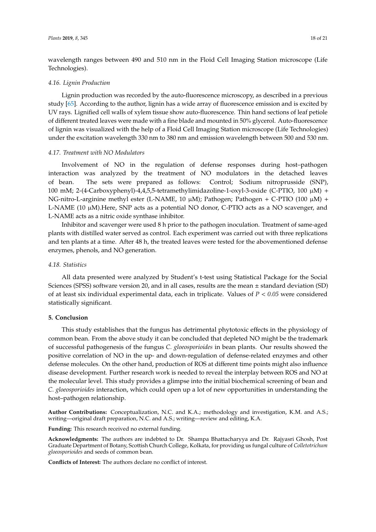wavelength ranges between 490 and 510 nm in the Floid Cell Imaging Station microscope (Life Technologies).

#### *4.16. Lignin Production*

Lignin production was recorded by the auto-fluorescence microscopy, as described in a previous study [65]. According to the author, lignin has a wide array of fluorescence emission and is excited by UV rays. Lignified cell walls of xylem tissue show auto-fluorescence. Thin hand sections of leaf petiole of different treated leaves were made with a fine blade and mounted in 50% glycerol. Auto-fluorescence of lignin was visualized with the help of a Floid Cell Imaging Station microscope (Life Technologies) under the excitation wavelength 330 nm to 380 nm and emission wavelength between 500 and 530 nm.

#### *4.17. Treatment with NO Modulators*

Involvement of NO in the regulation of defense responses during host–pathogen interaction was analyzed by the treatment of NO modulators in the detached leaves of bean. The sets were prepared as follows: Control; Sodium nitroprusside (SNP), 100 mM; 2-(4-Carboxyphenyl)-4,4,5,5-tetramethylimidazoline-1-oxyl-3-oxide (C-PTIO, 100  $\mu$ M) + NG-nitro-L-arginine methyl ester (L-NAME, 10  $\mu$ M); Pathogen; Pathogen + C-PTIO (100  $\mu$ M) + L-NAME (10  $\mu$ M).Here, SNP acts as a potential NO donor, C-PTIO acts as a NO scavenger, and L-NAME acts as a nitric oxide synthase inhibitor.

Inhibitor and scavenger were used 8 h prior to the pathogen inoculation. Treatment of same-aged plants with distilled water served as control. Each experiment was carried out with three replications and ten plants at a time. After 48 h, the treated leaves were tested for the abovementioned defense enzymes, phenols, and NO generation.

## *4.18. Statistics*

All data presented were analyzed by Student's t-test using Statistical Package for the Social Sciences (SPSS) software version 20, and in all cases, results are the mean ± standard deviation (SD) of at least six individual experimental data, each in triplicate. Values of *P* < *0.05* were considered statistically significant.

## **5. Conclusion**

This study establishes that the fungus has detrimental phytotoxic effects in the physiology of common bean. From the above study it can be concluded that depleted NO might be the trademark of successful pathogenesis of the fungus *C. gloeosporioides* in bean plants. Our results showed the positive correlation of NO in the up- and down-regulation of defense-related enzymes and other defense molecules. On the other hand, production of ROS at different time points might also influence disease development. Further research work is needed to reveal the interplay between ROS and NO at the molecular level. This study provides a glimpse into the initial biochemical screening of bean and *C. gloeosporioides* interaction, which could open up a lot of new opportunities in understanding the host–pathogen relationship.

**Author Contributions:** Conceptualization, N.C. and K.A.; methodology and investigation, K.M. and A.S.; writing—original draft preparation, N.C. and A.S.; writing—review and editing, K.A.

**Funding:** This research received no external funding.

**Acknowledgments:** The authors are indebted to Dr. Shampa Bhattacharyya and Dr. Rajyasri Ghosh, Post Graduate Department of Botany, Scottish Church College, Kolkata, for providing us fungal culture of *Colletotrichum gloeosporioides* and seeds of common bean.

**Conflicts of Interest:** The authors declare no conflict of interest.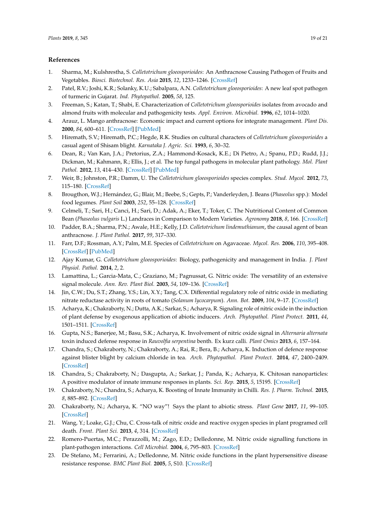## **References**

- 1. Sharma, M.; Kulshrestha, S. *Colletotrichum gloeosporioides*: An Anthracnose Causing Pathogen of Fruits and Vegetables. *Biosci. Biotechnol. Res. Asia* **2015**, *12*, 1233–1246. [CrossRef]
- 2. Patel, R.V.; Joshi, K.R.; Solanky, K.U.; Sabalpara, A.N. *Colletotrichum gloeosporioides*: A new leaf spot pathogen of turmeric in Gujarat. *Ind. Phytopathol.* **2005**, *58*, 125.
- 3. Freeman, S.; Katan, T.; Shabi, E. Characterization of *Colletotrichum gloeosporioides* isolates from avocado and almond fruits with molecular and pathogenicity tests. *Appl. Environ. Microbial.* **1996**, *62*, 1014–1020.
- 4. Arauz, L. Mango anthracnose: Economic impact and current options for integrate management. *Plant Dis.* **2000**, *84*, 600–611. [CrossRef] [PubMed]
- 5. Hiremath, S.V.; Hiremath, P.C.; Hegde, R.K. Studies on cultural characters of *Colletotrichum gloeosporioides* a casual agent of Shisam blight. *Karnataka J. Agric. Sci.* **1993**, *6*, 30–32.
- 6. Dean, R.; Van Kan, J.A.; Pretorius, Z.A.; Hammond-Kosack, K.E.; Di Pietro, A.; Spanu, P.D.; Rudd, J.J.; Dickman, M.; Kahmann, R.; Ellis, J.; et al. The top fungal pathogens in molecular plant pathology. *Mol. Plant Pathol.* **2012**, *13*, 414–430. [CrossRef] [PubMed]
- 7. Weir, B.; Johnston, P.R.; Damm, U. The *Colletotrichum gloeosporioides* species complex. *Stud. Mycol.* **2012**, *73*, 115–180. [CrossRef]
- 8. Brougthon, W.J.; Hernández, G.; Blair, M.; Beebe, S.; Gepts, P.; Vanderleyden, J. Beans (*Phaseolus* spp.): Model food legumes. *Plant Soil* **2003**, *252*, 55–128. [CrossRef]
- 9. Celmeli, T.; Sari, H.; Canci, H.; Sari, D.; Adak, A.; Eker, T.; Toker, C. The Nutritional Content of Common Bean (*Phaseolus vulgaris* L.) Landraces in Comparison to Modern Varieties. *Agronomy* **2018**, *8*, 166. [CrossRef]
- 10. Padder, B.A.; Sharma, P.N.; Awale, H.E.; Kelly, J.D. *Colletotrichum lindemuthianum*, the causal agent of bean anthracnose. *J. Plant Pathol.* **2017**, *99*, 317–330.
- 11. Farr, D.F.; Rossman, A.Y.; Palm, M.E. Species of *Colletotrichum* on Agavaceae. *Mycol. Res.* **2006**, *110*, 395–408. [CrossRef] [PubMed]
- 12. Ajay Kumar, G. *Colletotrichum gloeosporioides*: Biology, pathogenicity and management in India. *J. Plant Physiol. Pathol.* **2014**, *2*, 2.
- 13. Lamattina, L.; Garcia-Mata, C.; Graziano, M.; Pagnussat, G. Nitric oxide: The versatility of an extensive signal molecule. *Ann. Rev. Plant Biol.* **2003**, *54*, 109–136. [CrossRef]
- 14. Jin, C.W.; Du, S.T.; Zhang, Y.S.; Lin, X.Y.; Tang, C.X. Differential regulatory role of nitric oxide in mediating nitrate reductase activity in roots of tomato (*Solanum lycocarpum*). *Ann. Bot.* **2009**, *104*, 9–17. [CrossRef]
- 15. Acharya, K.; Chakraborty, N.; Dutta, A.K.; Sarkar, S.; Acharya, R. Signaling role of nitric oxide in the induction of plant defense by exogenous application of abiotic inducers. *Arch. Phytopathol. Plant Protect.* **2011**, *44*, 1501–1511. [CrossRef]
- 16. Gupta, N.S.; Banerjee, M.; Basu, S.K.; Acharya, K. Involvement of nitric oxide signal in *Alternaria alternata* toxin induced defense response in *Rauvolfia serpentina* benth. Ex kurz calli. *Plant Omics* **2013**, *6*, 157–164.
- 17. Chandra, S.; Chakraborty, N.; Chakraborty, A.; Rai, R.; Bera, B.; Acharya, K. Induction of defence response against blister blight by calcium chloride in tea. *Arch. Phytopathol. Plant Protect.* **2014**, *47*, 2400–2409. [CrossRef]
- 18. Chandra, S.; Chakraborty, N.; Dasgupta, A.; Sarkar, J.; Panda, K.; Acharya, K. Chitosan nanoparticles: A positive modulator of innate immune responses in plants. *Sci. Rep.* **2015**, *5*, 15195. [CrossRef]
- 19. Chakraborty, N.; Chandra, S.; Acharya, K. Boosting of Innate Immunity in Chilli. *Res. J. Pharm. Technol.* **2015**, *8*, 885–892. [CrossRef]
- 20. Chakraborty, N.; Acharya, K. "NO way"! Says the plant to abiotic stress. *Plant Gene* **2017**, *11*, 99–105. [CrossRef]
- 21. Wang, Y.; Loake, G.J.; Chu, C. Cross-talk of nitric oxide and reactive oxygen species in plant programed cell death. *Front. Plant Sci.* **2013**, *4*, 314. [CrossRef]
- 22. Romero-Puertas, M.C.; Perazzolli, M.; Zago, E.D.; Delledonne, M. Nitric oxide signalling functions in plant-pathogen interactions. *Cell Microbiol.* **2004**, *6*, 795–803. [CrossRef]
- 23. De Stefano, M.; Ferrarini, A.; Delledonne, M. Nitric oxide functions in the plant hypersensitive disease resistance response. *BMC Plant Biol.* **2005**, *5*, S10. [CrossRef]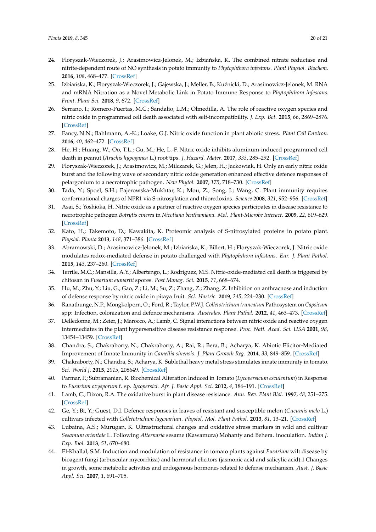- 24. Floryszak-Wieczorek, J.; Arasimowicz-Jelonek, M.; Izbiańska, K. The combined nitrate reductase and nitrite-dependent route of NO synthesis in potato immunity to *Phytophthora infestans*. *Plant Physiol. Biochem.* **2016**, *108*, 468–477. [CrossRef]
- 25. Izbiańska, K.; Floryszak-Wieczorek, J.; Gajewska, J.; Meller, B.; Kuźnicki, D.; Arasimowicz-Jelonek, M. RNA and mRNA Nitration as a Novel Metabolic Link in Potato Immune Response to *Phytophthora infestans*. *Front. Plant Sci.* **2018**, *9*, 672. [CrossRef]
- 26. Serrano, I.; Romero-Puertas, M.C.; Sandalio, L.M.; Olmedilla, A. The role of reactive oxygen species and nitric oxide in programmed cell death associated with self-incompatibility. *J. Exp. Bot.* **2015**, *66*, 2869–2876. [CrossRef]
- 27. Fancy, N.N.; Bahlmann, A.-K.; Loake, G.J. Nitric oxide function in plant abiotic stress. *Plant Cell Environ.* **2016**, *40*, 462–472. [CrossRef]
- 28. He, H.; Huang, W.; Oo, T.L.; Gu, M.; He, L.-F. Nitric oxide inhibits aluminum-induced programmed cell death in peanut (*Arachis hypoganea* L.) root tips. *J. Hazard. Mater.* **2017**, *333*, 285–292. [CrossRef]
- 29. Floryszak-Wieczorek, J.; Arasimowicz, M.; Milczarek, G.; Jelen, H.; Jackowiak, H. Only an early nitric oxide burst and the following wave of secondary nitric oxide generation enhanced effective defence responses of pelargonium to a necrotrophic pathogen. *New Phytol.* **2007**, *175*, 718–730. [CrossRef]
- 30. Tada, Y.; Spoel, S.H.; Pajerowska-Mukhtar, K.; Mou, Z.; Song, J.; Wang, C. Plant immunity requires conformational charges of NPR1 via S-nitrosylation and thioredoxins. *Science* **2008**, *321*, 952–956. [CrossRef]
- 31. Asai, S.; Yoshioka, H. Nitric oxide as a partner of reactive oxygen species participates in disease resistance to necrotrophic pathogen *Botrytis cinerea* in *Nicotiana benthamiana*. *Mol. Plant-Microbe Interact.* **2009**, *22*, 619–629. [CrossRef]
- 32. Kato, H.; Takemoto, D.; Kawakita, K. Proteomic analysis of S-nitrosylated proteins in potato plant. *Physiol. Planta* **2013**, *148*, 371–386. [CrossRef]
- 33. Abramowski, D.; Arasimowicz-Jelonek, M.; Izbiańska, K.; Billert, H.; Floryszak-Wieczorek, J. Nitric oxide modulates redox-mediated defense in potato challenged with *Phytophthora infestans*. *Eur. J. Plant Pathol.* **2015**, *143*, 237–260. [CrossRef]
- 34. Terrile, M.C.; Mansilla, A.Y.; Albertengo, L.; Rodriguez, M.S. Nitric-oxide-mediated cell death is triggered by chitosan in *Fusarium eumartii* spores. *Post Manag. Sci.* **2015**, *71*, 668–674.
- 35. Hu, M.; Zhu, Y.; Liu, G.; Gao, Z.; Li, M.; Su, Z.; Zhang, Z.; Zhang, Z. Inhibition on anthracnose and induction of defense response by nitric oxide in pitaya fruit. *Sci. Hortric.* **2019**, *245*, 224–230. [CrossRef]
- 36. Ranathunge, N.P.; Mongkolporn, O.; Ford, R.; Taylor, P.W.J. *Colletotrichum truncatum* Pathosystem on *Capsicum* spp: Infection, colonization and defence mechanisms. *Australas. Plant Pathol.* **2012**, *41*, 463–473. [CrossRef]
- 37. Delledonne, M.; Zeier, J.; Marocco, A.; Lamb, C. Signal interactions between nitric oxide and reactive oxygen intermediates in the plant hypersensitive disease resistance response. *Proc. Natl. Acad. Sci. USA* **2001**, *98*, 13454–13459. [CrossRef]
- 38. Chandra, S.; Chakraborty, N.; Chakraborty, A.; Rai, R.; Bera, B.; Acharya, K. Abiotic Elicitor-Mediated Improvement of Innate Immunity in *Camellia sinensis*. *J. Plant Growth Reg.* **2014**, *33*, 849–859. [CrossRef]
- 39. Chakraborty, N.; Chandra, S.; Acharya, K. Sublethal heavy metal stress stimulates innate immunity in tomato. *Sci. World J.* **2015**, *2015*, 208649. [CrossRef]
- 40. Parmar, P.; Subramanian, R. Biochemical Alteration Induced in Tomato (*Lycopersicum esculentum*) in Response to *Fusarium oxysporum* f. sp. *lycopersici*. *Afr. J. Basic Appl. Sci.* **2012**, *4*, 186–191. [CrossRef]
- 41. Lamb, C.; Dixon, R.A. The oxidative burst in plant disease resistance. *Ann. Rev. Plant Biol.* **1997**, *48*, 251–275. [CrossRef]
- 42. Ge, Y.; Bi, Y.; Guest, D.I. Defence responses in leaves of resistant and susceptible melon (*Cucumis melo* L.) cultivars infected with *Colletotrichum lagenarium*. *Physiol. Mol. Plant Pathol.* **2013**, *81*, 13–21. [CrossRef]
- 43. Lubaina, A.S.; Murugan, K. Ultrastructural changes and oxidative stress markers in wild and cultivar *Sesamum orientale* L. Following *Alternaria* sesame (Kawamura) Mohanty and Behera. inoculation. *Indian J. Exp. Biol.* **2013**, *51*, 670–680.
- 44. El-Khallal, S.M. Induction and modulation of resistance in tomato plants against *Fusarium* wilt disease by bioagent fungi (arbuscular mycorrhiza) and hormonal elicitors (jasmonic acid and salicylic acid):1 Changes in growth, some metabolic activities and endogenous hormones related to defense mechanism. *Aust. J. Basic Appl. Sci.* **2007**, *1*, 691–705.